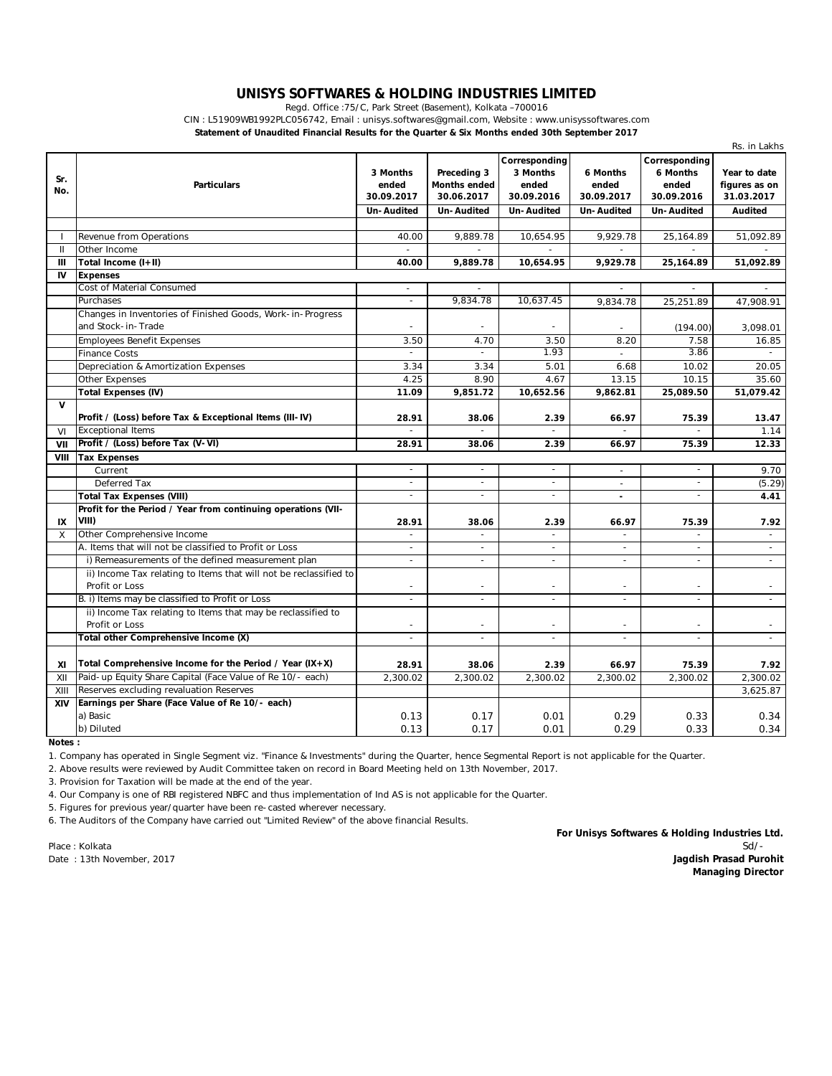## **UNISYS SOFTWARES & HOLDING INDUSTRIES LIMITED**

Regd. Office :75/C, Park Street (Basement), Kolkata –700016

CIN : L51909WB1992PLC056742, Email : unisys.softwares@gmail.com, Website : www.unisyssoftwares.com

**Statement of Unaudited Financial Results for the Quarter & Six Months ended 30th September 2017**

|              |                                                                                     |                                               |                                                                |                                                                       |                                                      |                                                                | Rs. in Lakhs                                           |
|--------------|-------------------------------------------------------------------------------------|-----------------------------------------------|----------------------------------------------------------------|-----------------------------------------------------------------------|------------------------------------------------------|----------------------------------------------------------------|--------------------------------------------------------|
| Sr.<br>No.   | <b>Particulars</b>                                                                  | 3 Months<br>ended<br>30.09.2017<br>Un-Audited | Preceding 3<br><b>Months ended</b><br>30.06.2017<br>Un-Audited | Corresponding<br>3 Months<br>ended<br>30.09.2016<br><b>Un-Audited</b> | 6 Months<br>ended<br>30.09.2017<br><b>Un-Audited</b> | Corresponding<br>6 Months<br>ended<br>30.09.2016<br>Un-Audited | Year to date<br>figures as on<br>31.03.2017<br>Audited |
|              |                                                                                     |                                               |                                                                |                                                                       |                                                      |                                                                |                                                        |
|              | Revenue from Operations                                                             | 40.00                                         | 9,889.78                                                       | 10,654.95                                                             | 9,929.78                                             | 25,164.89                                                      | 51,092.89                                              |
| $\mathbf{H}$ | Other Income                                                                        | $\sim$                                        |                                                                |                                                                       |                                                      |                                                                |                                                        |
| Ш            | Total Income (I+II)                                                                 | 40.00                                         | 9,889.78                                                       | 10,654.95                                                             | 9,929.78                                             | 25,164.89                                                      | 51,092.89                                              |
| IV           | <b>Expenses</b>                                                                     |                                               |                                                                |                                                                       |                                                      |                                                                |                                                        |
|              | Cost of Material Consumed                                                           |                                               |                                                                |                                                                       |                                                      |                                                                |                                                        |
|              | Purchases                                                                           | $\overline{\phantom{a}}$                      | 9,834.78                                                       | 10.637.45                                                             | 9,834.78                                             | 25,251.89                                                      | 47,908.91                                              |
|              | Changes in Inventories of Finished Goods, Work-in-Progress<br>and Stock-in-Trade    |                                               |                                                                |                                                                       |                                                      | (194.00)                                                       | 3,098.01                                               |
|              | <b>Employees Benefit Expenses</b>                                                   | 3.50                                          | 4.70                                                           | 3.50                                                                  | 8.20                                                 | 7.58                                                           | 16.85                                                  |
|              | <b>Finance Costs</b>                                                                |                                               |                                                                | 1.93                                                                  | $\sim$                                               | 3.86                                                           |                                                        |
|              | Depreciation & Amortization Expenses                                                | 3.34                                          | 3.34                                                           | 5.01                                                                  | 6.68                                                 | 10.02                                                          | 20.05                                                  |
|              | Other Expenses                                                                      | 4.25                                          | 8.90                                                           | 4.67                                                                  | 13.15                                                | 10.15                                                          | 35.60                                                  |
|              | <b>Total Expenses (IV)</b>                                                          | 11.09                                         | 9,851.72                                                       | 10,652.56                                                             | 9,862.81                                             | 25,089.50                                                      | 51,079.42                                              |
| $\mathbf{v}$ |                                                                                     |                                               |                                                                |                                                                       |                                                      |                                                                |                                                        |
|              | Profit / (Loss) before Tax & Exceptional Items (III-IV)                             | 28.91                                         | 38.06                                                          | 2.39                                                                  | 66.97                                                | 75.39                                                          | 13.47                                                  |
| VI           | <b>Exceptional Items</b>                                                            |                                               |                                                                | $\overline{a}$                                                        | $\mathbf{r}$                                         |                                                                | 1.14                                                   |
| VII          | Profit / (Loss) before Tax (V-VI)                                                   | 28.91                                         | 38.06                                                          | 2.39                                                                  | 66.97                                                | 75.39                                                          | 12.33                                                  |
| VIII         | <b>Tax Expenses</b>                                                                 |                                               |                                                                |                                                                       |                                                      |                                                                |                                                        |
|              | Current                                                                             | $\overline{\phantom{a}}$                      | $\overline{\phantom{a}}$                                       | $\blacksquare$                                                        | $\sim$                                               | $\omega$                                                       | 9.70                                                   |
|              | Deferred Tax                                                                        | $\bar{\phantom{a}}$                           | $\sim$                                                         | $\bar{a}$                                                             | $\sim$                                               | $\sim$                                                         | (5.29)                                                 |
|              | <b>Total Tax Expenses (VIII)</b>                                                    | $\sim$                                        | $\sim$                                                         | $\overline{a}$                                                        | $\overline{a}$                                       | $\sim$                                                         | 4.41                                                   |
| IX           | Profit for the Period / Year from continuing operations (VII-<br>VIII)              | 28.91                                         | 38.06                                                          | 2.39                                                                  | 66.97                                                | 75.39                                                          | 7.92                                                   |
| X            | Other Comprehensive Income                                                          | $\overline{a}$                                | $\equiv$                                                       | $\equiv$                                                              | $\overline{a}$                                       | $\overline{a}$                                                 | $\sim$                                                 |
|              | A. Items that will not be classified to Profit or Loss                              | $\bar{\phantom{a}}$                           | $\sim$                                                         | $\overline{\phantom{a}}$                                              | $\bar{\phantom{a}}$                                  | $\omega$                                                       | $\omega$                                               |
|              | i) Remeasurements of the defined measurement plan                                   | ÷,                                            |                                                                |                                                                       |                                                      |                                                                |                                                        |
|              | ii) Income Tax relating to Items that will not be reclassified to<br>Profit or Loss |                                               | $\sim$                                                         |                                                                       |                                                      |                                                                |                                                        |
|              | B. i) Items may be classified to Profit or Loss                                     | $\bar{\phantom{a}}$                           | $\sim$                                                         | $\overline{a}$                                                        | $\bar{\phantom{a}}$                                  | $\omega$                                                       | $\sim$                                                 |
|              | ii) Income Tax relating to Items that may be reclassified to<br>Profit or Loss      | $\equiv$                                      | $\overline{\phantom{a}}$                                       | $\overline{\phantom{a}}$                                              | $\blacksquare$                                       |                                                                |                                                        |
|              | Total other Comprehensive Income (X)                                                | $\overline{\phantom{a}}$                      | $\sim$                                                         | $\overline{\phantom{a}}$                                              | $\overline{\phantom{a}}$                             | $\sim$                                                         | $\sim$                                                 |
| XI           | Total Comprehensive Income for the Period / Year $(IX + X)$                         | 28.91                                         | 38.06                                                          | 2.39                                                                  | 66.97                                                | 75.39                                                          | 7.92                                                   |
| XII          | Paid-up Equity Share Capital (Face Value of Re 10/- each)                           | 2,300.02                                      | 2,300.02                                                       | 2,300.02                                                              | 2,300.02                                             | 2,300.02                                                       | 2,300.02                                               |
| XIII         | Reserves excluding revaluation Reserves                                             |                                               |                                                                |                                                                       |                                                      |                                                                | 3,625.87                                               |
| XIV          | Earnings per Share (Face Value of Re 10/- each)                                     |                                               |                                                                |                                                                       |                                                      |                                                                |                                                        |
|              | a) Basic                                                                            | 0.13                                          | 0.17                                                           | 0.01                                                                  | 0.29                                                 | 0.33                                                           | 0.34                                                   |
|              | b) Diluted                                                                          | 0.13                                          | 0.17                                                           | 0.01                                                                  | 0.29                                                 | 0.33                                                           | 0.34                                                   |

**Notes :**

1. Company has operated in Single Segment viz. "Finance & Investments" during the Quarter, hence Segmental Report is not applicable for the Quarter.

2. Above results were reviewed by Audit Committee taken on record in Board Meeting held on 13th November, 2017.

3. Provision for Taxation will be made at the end of the year.

4. Our Company is one of RBI registered NBFC and thus implementation of Ind AS is not applicable for the Quarter.

5. Figures for previous year/quarter have been re-casted wherever necessary.

6. The Auditors of the Company have carried out "Limited Review" of the above financial Results.

Place : Kolkata Sd/- Date : 13th November, 2017 **Jagdish Prasad Purohit Managing Director For Unisys Softwares & Holding Industries Ltd.**